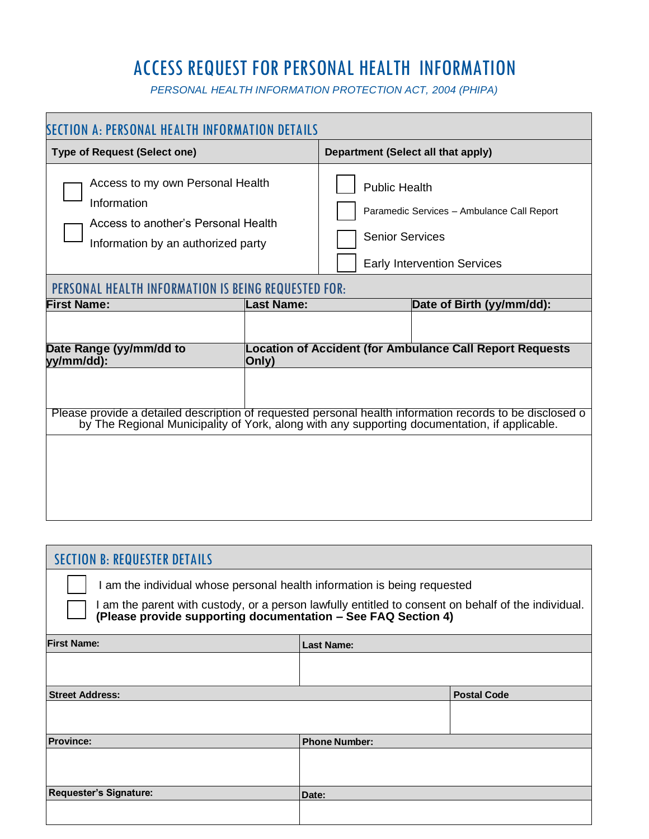# ACCESS REQUEST FOR PERSONAL HEALTH INFORMATION

*PERSONAL HEALTH INFORMATION PROTECTION ACT, 2004 (PHIPA)*

| SECTION A: PERSONAL HEALTH INFORMATION DETAILS                                                                                                                                                            |                   |                                                                                                                                    |  |  |
|-----------------------------------------------------------------------------------------------------------------------------------------------------------------------------------------------------------|-------------------|------------------------------------------------------------------------------------------------------------------------------------|--|--|
| <b>Type of Request (Select one)</b>                                                                                                                                                                       |                   | Department (Select all that apply)                                                                                                 |  |  |
| Access to my own Personal Health<br>Information<br>Access to another's Personal Health<br>Information by an authorized party                                                                              |                   | <b>Public Health</b><br>Paramedic Services - Ambulance Call Report<br><b>Senior Services</b><br><b>Early Intervention Services</b> |  |  |
| PERSONAL HEALTH INFORMATION IS BEING REQUESTED FOR:                                                                                                                                                       |                   |                                                                                                                                    |  |  |
| <b>First Name:</b>                                                                                                                                                                                        | <b>Last Name:</b> | Date of Birth (yy/mm/dd):                                                                                                          |  |  |
|                                                                                                                                                                                                           |                   | <b>Location of Accident (for Ambulance Call Report Requests</b>                                                                    |  |  |
| Date Range (yy/mm/dd to<br>yy/mm/dd):<br>Only)                                                                                                                                                            |                   |                                                                                                                                    |  |  |
| Please provide a detailed description of requested personal health information records to be disclosed o<br>by The Regional Municipality of York, along with any supporting documentation, if applicable. |                   |                                                                                                                                    |  |  |
|                                                                                                                                                                                                           |                   |                                                                                                                                    |  |  |

| <b>SECTION B: REQUESTER DETAILS</b>                                                                                                                                                                                                              |                      |                    |  |
|--------------------------------------------------------------------------------------------------------------------------------------------------------------------------------------------------------------------------------------------------|----------------------|--------------------|--|
| I am the individual whose personal health information is being requested<br>I am the parent with custody, or a person lawfully entitled to consent on behalf of the individual.<br>(Please provide supporting documentation - See FAQ Section 4) |                      |                    |  |
| <b>First Name:</b>                                                                                                                                                                                                                               |                      |                    |  |
|                                                                                                                                                                                                                                                  | <b>Last Name:</b>    |                    |  |
|                                                                                                                                                                                                                                                  |                      |                    |  |
| <b>Street Address:</b>                                                                                                                                                                                                                           |                      | <b>Postal Code</b> |  |
|                                                                                                                                                                                                                                                  |                      |                    |  |
| <b>Province:</b>                                                                                                                                                                                                                                 | <b>Phone Number:</b> |                    |  |
|                                                                                                                                                                                                                                                  |                      |                    |  |
| <b>Requester's Signature:</b>                                                                                                                                                                                                                    | Date:                |                    |  |
|                                                                                                                                                                                                                                                  |                      |                    |  |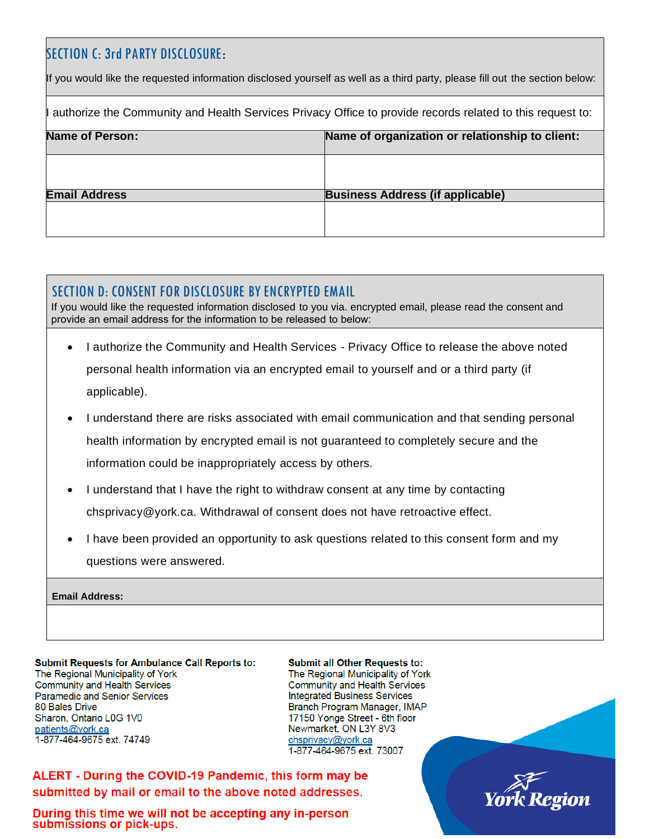# SECTION C: 3rd PARTY DISCLOSURE**:**

If you would like the requested information disclosed yourself as well as a third party, please fill out the section below:

authorize the Community and Health Services Privacy Office to provide records related to this request to:

| Name of Person:      | Name of organization or relationship to client: |
|----------------------|-------------------------------------------------|
|                      |                                                 |
| <b>Email Address</b> | <b>Business Address (if applicable)</b>         |
|                      |                                                 |

# SECTION D: CONSENT FOR DISCLOSURE BY ENCRYPTED EMAIL

If you would like the requested information disclosed to you via. encrypted email, please read the consent and provide an email address for the information to be released to below:

- I authorize the Community and Health Services Privacy Office to release the above noted personal health information via an encrypted email to yourself and or a third party (if applicable).
- I understand there are risks associated with email communication and that sending personal health information by encrypted email is not guaranteed to completely secure and the information could be inappropriately access by others.
- I understand that I have the right to withdraw consent at any time by contacting chsprivacy@york.ca. Withdrawal of consent does not have retroactive effect.
- I have been provided an opportunity to ask questions related to this consent form and my questions were answered.

**Email Address:** 

**Submit Requests for Ambulance Call Reports to:** The Regional Municipality of York **Community and Health Services** Paramedic and Senior Services 80 Bales Drive Sharon, Ontario L0G 1V0 patients@york.ca 1-877-464-9675 ext. 74749

**Submit all Other Requests to:** The Regional Municipality of York **Community and Health Services Integrated Business Services** Branch Program Manager, IMAP 17150 Yonge Street - 6th floor Newmarket, ON L3Y 8V3 chsprivacy@york.ca 1-877-464-9675 ext. 73007

ALERT - During the COVID-19 Pandemic, this form may be submitted by mail or email to the above noted addresses.

During this time we will not be accepting any in-person submissions or pick-ups.

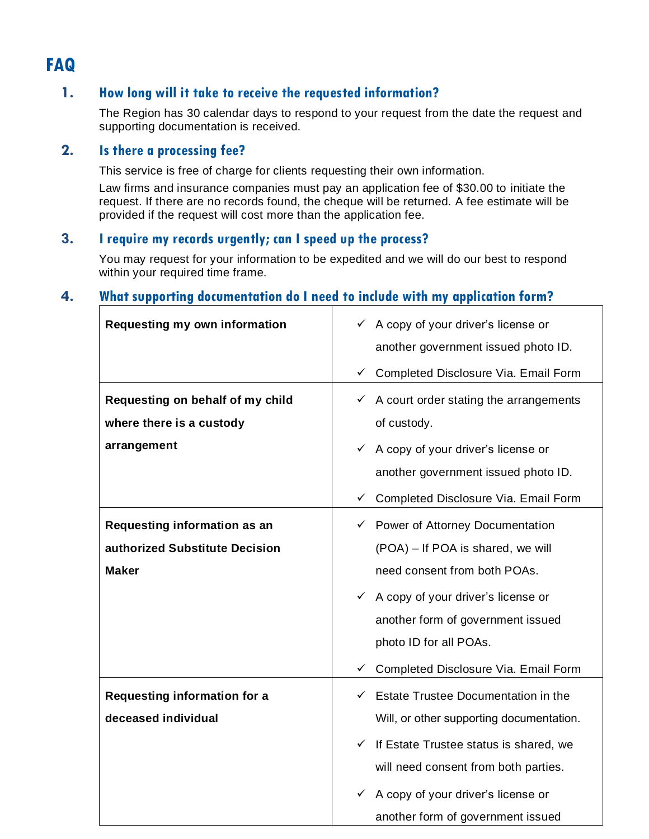# **FAQ**

## **1. How long will it take to receive the requested information?**

The Region has 30 calendar days to respond to your request from the date the request and supporting documentation is received.

## **2. Is there a processing fee?**

This service is free of charge for clients requesting their own information.

Law firms and insurance companies must pay an application fee of \$30.00 to initiate the request. If there are no records found, the cheque will be returned. A fee estimate will be provided if the request will cost more than the application fee.

## **3. I require my records urgently; can I speed up the process?**

You may request for your information to be expedited and we will do our best to respond within your required time frame.

# **4. What supporting documentation do I need to include with my application form?**

| <b>Requesting my own information</b> | $\checkmark$ A copy of your driver's license or     |
|--------------------------------------|-----------------------------------------------------|
|                                      |                                                     |
|                                      | another government issued photo ID.                 |
|                                      | ← Completed Disclosure Via. Email Form              |
| Requesting on behalf of my child     | $\checkmark$ A court order stating the arrangements |
| where there is a custody             | of custody.                                         |
| arrangement                          | $\checkmark$ A copy of your driver's license or     |
|                                      | another government issued photo ID.                 |
|                                      | Completed Disclosure Via. Email Form<br>✓           |
| Requesting information as an         | ← Power of Attorney Documentation                   |
| authorized Substitute Decision       | (POA) – If POA is shared, we will                   |
| <b>Maker</b>                         | need consent from both POAs.                        |
|                                      | $\checkmark$ A copy of your driver's license or     |
|                                      | another form of government issued                   |
|                                      | photo ID for all POAs.                              |
|                                      | Completed Disclosure Via. Email Form<br>✓           |
| <b>Requesting information for a</b>  | Estate Trustee Documentation in the<br>$\checkmark$ |
| deceased individual                  | Will, or other supporting documentation.            |
|                                      | If Estate Trustee status is shared, we<br>✓         |
|                                      | will need consent from both parties.                |
|                                      | A copy of your driver's license or<br>✓             |
|                                      | another form of government issued                   |